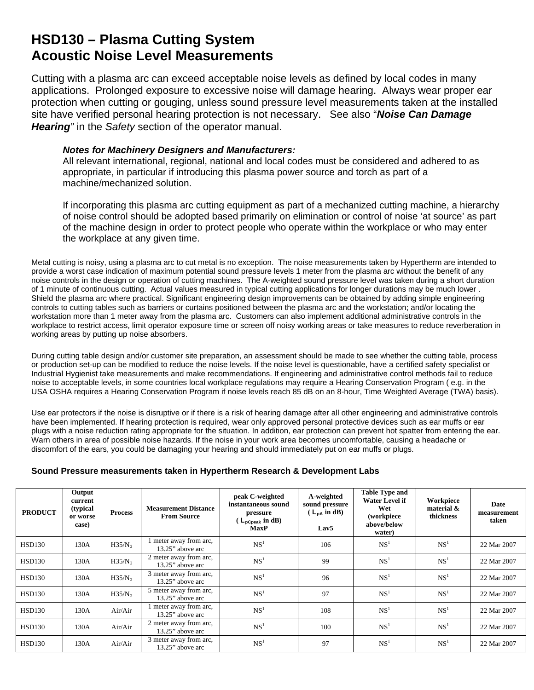## **HSD130 – Plasma Cutting System Acoustic Noise Level Measurements**

Cutting with a plasma arc can exceed acceptable noise levels as defined by local codes in many applications. Prolonged exposure to excessive noise will damage hearing. Always wear proper ear protection when cutting or gouging, unless sound pressure level measurements taken at the installed site have verified personal hearing protection is not necessary. See also "*Noise Can Damage Hearing"* in the *Safety* section of the operator manual.

## *Notes for Machinery Designers and Manufacturers:*

All relevant international, regional, national and local codes must be considered and adhered to as appropriate, in particular if introducing this plasma power source and torch as part of a machine/mechanized solution.

If incorporating this plasma arc cutting equipment as part of a mechanized cutting machine, a hierarchy of noise control should be adopted based primarily on elimination or control of noise 'at source' as part of the machine design in order to protect people who operate within the workplace or who may enter the workplace at any given time.

Metal cutting is noisy, using a plasma arc to cut metal is no exception. The noise measurements taken by Hypertherm are intended to provide a worst case indication of maximum potential sound pressure levels 1 meter from the plasma arc without the benefit of any noise controls in the design or operation of cutting machines. The A-weighted sound pressure level was taken during a short duration of 1 minute of continuous cutting. Actual values measured in typical cutting applications for longer durations may be much lower . Shield the plasma arc where practical. Significant engineering design improvements can be obtained by adding simple engineering controls to cutting tables such as barriers or curtains positioned between the plasma arc and the workstation; and/or locating the workstation more than 1 meter away from the plasma arc. Customers can also implement additional administrative controls in the workplace to restrict access, limit operator exposure time or screen off noisy working areas or take measures to reduce reverberation in working areas by putting up noise absorbers.

During cutting table design and/or customer site preparation, an assessment should be made to see whether the cutting table, process or production set-up can be modified to reduce the noise levels. If the noise level is questionable, have a certified safety specialist or Industrial Hygienist take measurements and make recommendations. If engineering and administrative control methods fail to reduce noise to acceptable levels, in some countries local workplace regulations may require a Hearing Conservation Program ( e.g. in the USA OSHA requires a Hearing Conservation Program if noise levels reach 85 dB on an 8-hour, Time Weighted Average (TWA) basis).

Use ear protectors if the noise is disruptive or if there is a risk of hearing damage after all other engineering and administrative controls have been implemented. If hearing protection is required, wear only approved personal protective devices such as ear muffs or ear plugs with a noise reduction rating appropriate for the situation. In addition, ear protection can prevent hot spatter from entering the ear. Warn others in area of possible noise hazards. If the noise in your work area becomes uncomfortable, causing a headache or discomfort of the ears, you could be damaging your hearing and should immediately put on ear muffs or plugs.

## **Sound Pressure measurements taken in Hypertherm Research & Development Labs**

| <b>PRODUCT</b> | Output<br>current<br>(typical)<br>or worse<br>case) | <b>Process</b>     | <b>Measurement Distance</b><br><b>From Source</b> | peak C-weighted<br>instantaneous sound<br>pressure<br>$(L_{\text{pCpeak}} \text{ in dB})$<br><b>MaxP</b> | A-weighted<br>sound pressure<br>$(L_{DA} \text{ in } dB)$<br>Lav <sub>5</sub> | <b>Table Type and</b><br><b>Water Level if</b><br>Wet<br>(workpiece<br>above/below<br>water) | Workpiece<br>material &<br>thickness | Date<br>measurement<br>taken |
|----------------|-----------------------------------------------------|--------------------|---------------------------------------------------|----------------------------------------------------------------------------------------------------------|-------------------------------------------------------------------------------|----------------------------------------------------------------------------------------------|--------------------------------------|------------------------------|
| <b>HSD130</b>  | 130A                                                | H35/N <sub>2</sub> | 1 meter away from arc,<br>13.25" above arc        | NS <sup>1</sup>                                                                                          | 106                                                                           | NS <sup>1</sup>                                                                              | NS <sup>1</sup>                      | 22 Mar 2007                  |
| <b>HSD130</b>  | 130A                                                | H35/N <sub>2</sub> | 2 meter away from arc,<br>13.25" above arc        | NS <sup>1</sup>                                                                                          | 99                                                                            | NS <sup>1</sup>                                                                              | NS <sup>1</sup>                      | 22 Mar 2007                  |
| <b>HSD130</b>  | 130A                                                | H35/N <sub>2</sub> | 3 meter away from arc,<br>13.25" above arc        | NS <sup>1</sup>                                                                                          | 96                                                                            | NS <sup>1</sup>                                                                              | NS <sup>1</sup>                      | 22 Mar 2007                  |
| <b>HSD130</b>  | 130A                                                | H35/N <sub>2</sub> | 5 meter away from arc,<br>$13.25$ " above arc     | NS <sup>1</sup>                                                                                          | 97                                                                            | NS <sup>1</sup>                                                                              | NS <sup>1</sup>                      | 22 Mar 2007                  |
| <b>HSD130</b>  | 130A                                                | Air/Air            | I meter away from arc,<br>13.25" above arc        | NS <sup>1</sup>                                                                                          | 108                                                                           | NS <sup>1</sup>                                                                              | NS <sup>1</sup>                      | 22 Mar 2007                  |
| <b>HSD130</b>  | 130A                                                | Air/Air            | 2 meter away from arc,<br>13.25" above arc        | NS <sup>1</sup>                                                                                          | 100                                                                           | NS <sup>1</sup>                                                                              | NS <sup>1</sup>                      | 22 Mar 2007                  |
| <b>HSD130</b>  | 130A                                                | Air/Air            | 3 meter away from arc,<br>13.25" above arc        | NS <sup>1</sup>                                                                                          | 97                                                                            | NS <sup>1</sup>                                                                              | NS <sup>1</sup>                      | 22 Mar 2007                  |